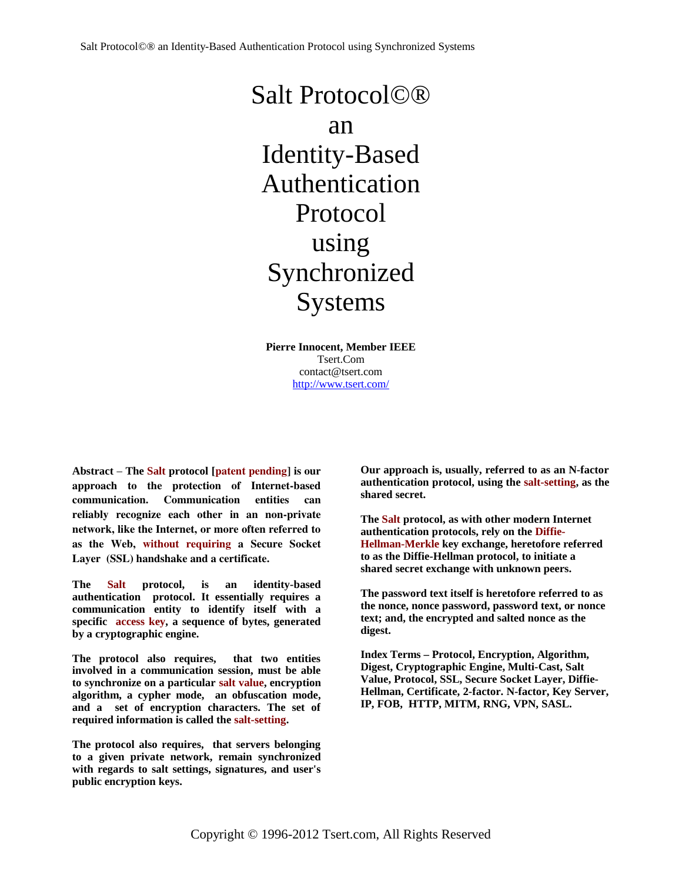Salt Protocol©® an Identity-Based Authentication Protocol using Synchronized **Systems** 

**Pierre Innocent, Member IEEE** Tsert.Com contact@tsert.com <http://www.tsert.com/>

**Abstract** – **The Salt protocol [**patent pending] is our approach to the protection of Internet-based communication. Communication entities can reliably recognize each other in an non-private network, like the Internet, or more often referred to as the Web, without requiring a Secure Socket Layer (SSL) handshake and a certificate.

**The Salt protocol, is an identity-based authentication protocol. It essentially requires a communication entity to identify itself with a specific access key, a sequence of bytes, generated by a cryptographic engine.**

**The protocol also requires, that two entities involved in a communication session, must be able to synchronize on a particular salt value, encryption algorithm, a cypher mode, an obfuscation mode, and a set of encryption characters. The set of required information is called the salt-setting.**

**The protocol also requires, that servers belonging to a given private network, remain synchronized with regards to salt settings, signatures, and user's public encryption keys.**

**Our approach is, usually, referred to as an N-factor authentication protocol, using the salt-setting, as the shared secret.**

**The Salt protocol, as with other modern Internet authentication protocols, rely on the Diffie-Hellman-Merkle key exchange, heretofore referred to as the Diffie-Hellman protocol, to initiate a shared secret exchange with unknown peers.** 

**The password text itself is heretofore referred to as the nonce, nonce password, password text, or nonce text; and, the encrypted and salted nonce as the digest.**

**Index Terms – Protocol, Encryption, Algorithm, Digest, Cryptographic Engine, Multi-Cast, Salt Value, Protocol, SSL, Secure Socket Layer, Diffie-Hellman, Certificate, 2-factor. N-factor, Key Server, IP, FOB, HTTP, MITM, RNG, VPN, SASL.**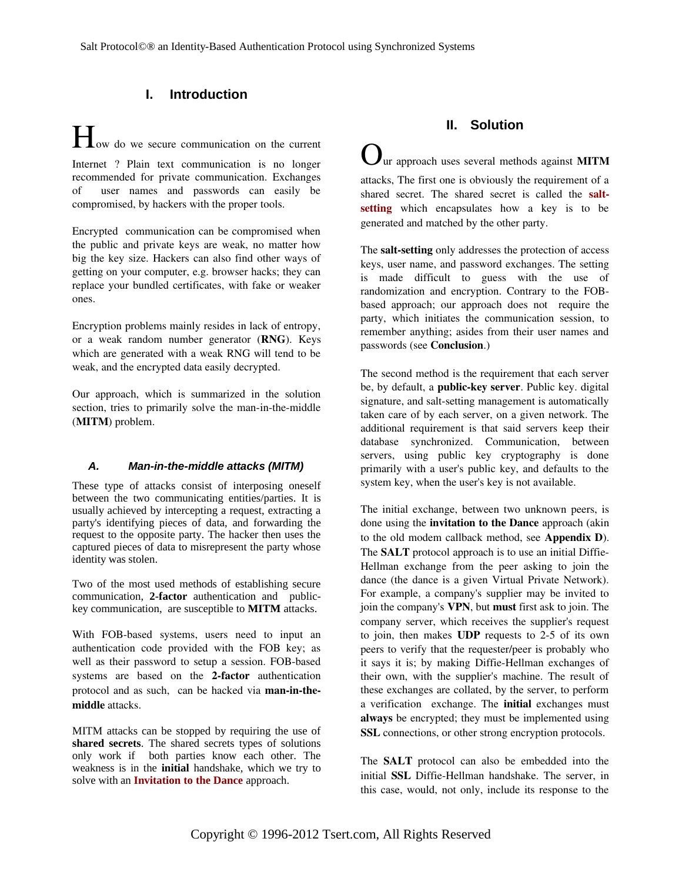# **I. Introduction**

How do we secure communication on the current Internet ? Plain text communication is no longer recommended for private communication. Exchanges of user names and passwords can easily be compromised, by hackers with the proper tools.

Encrypted communication can be compromised when the public and private keys are weak, no matter how big the key size. Hackers can also find other ways of getting on your computer, e.g. browser hacks; they can replace your bundled certificates, with fake or weaker ones.

Encryption problems mainly resides in lack of entropy, or a weak random number generator (RNG). Keys which are generated with a weak RNG will tend to be weak, and the encrypted data easily decrypted.

Our approach, which is summarized in the solution section, tries to primarily solve the man-in-the-middle (MITM) problem.

## *A. Man-in-the-middle attacks (MITM)*

These type of attacks consist of interposing oneself between the two communicating entities/parties. It is usually achieved by intercepting a request, extracting a party's identifying pieces of data, and forwarding the request to the opposite party. The hacker then uses the captured pieces of data to misrepresent the party whose identity was stolen.

Two of the most used methods of establishing secure communication, **2-factor** authentication and publickey communication, are susceptible to **MITM** attacks.

With FOB-based systems, users need to input an authentication code provided with the FOB key; as well as their password to setup a session. FOB-based systems are based on the 2-factor authentication protocol and as such, can be hacked via **man-in-the**middle attacks.

MITM attacks can be stopped by requiring the use of **shared secrets**. The shared secrets types of solutions only work if both parties know each other. The weakness is in the **initial** handshake, which we try to solve with an **Invitation to the Dance** approach.

## **II. Solution**

ur approach uses several methods against **MITM** attacks, The first one is obviously the requirement of a shared secret. The shared secret is called the saltsetting which encapsulates how a key is to be generated and matched by the other party.

The salt-setting only addresses the protection of access keys, user name, and password exchanges. The setting is made difficult to guess with the use of randomization and encryption. Contrary to the FOBbased approach; our approach does not require the party, which initiates the communication session, to remember anything; asides from their user names and passwords (see Conclusion.)

The second method is the requirement that each server be, by default, a **public-key server**. Public key. digital signature, and salt-setting management is automatically taken care of by each server, on a given network. The additional requirement is that said servers keep their database synchronized. Communication, between servers, using public key cryptography is done primarily with a user's public key, and defaults to the system key, when the user's key is not available.

The initial exchange, between two unknown peers, is done using the invitation to the Dance approach (akin to the old modem callback method, see Appendix D). The SALT protocol approach is to use an initial Diffie-Hellman exchange from the peer asking to join the dance (the dance is a given Virtual Private Network). For example, a company's supplier may be invited to join the company's VPN, but must first ask to join. The company server, which receives the supplier's request to join, then makes  $\text{UDP}$  requests to 2-5 of its own peers to verify that the requester/peer is probably who it says it is; by making Diffie-Hellman exchanges of their own, with the supplier's machine. The result of these exchanges are collated, by the server, to perform a verification exchange. The *initial* exchanges must always be encrypted; they must be implemented using SSL connections, or other strong encryption protocols.

The **SALT** protocol can also be embedded into the initial **SSL** Diffie-Hellman handshake. The server, in this case, would, not only, include its response to the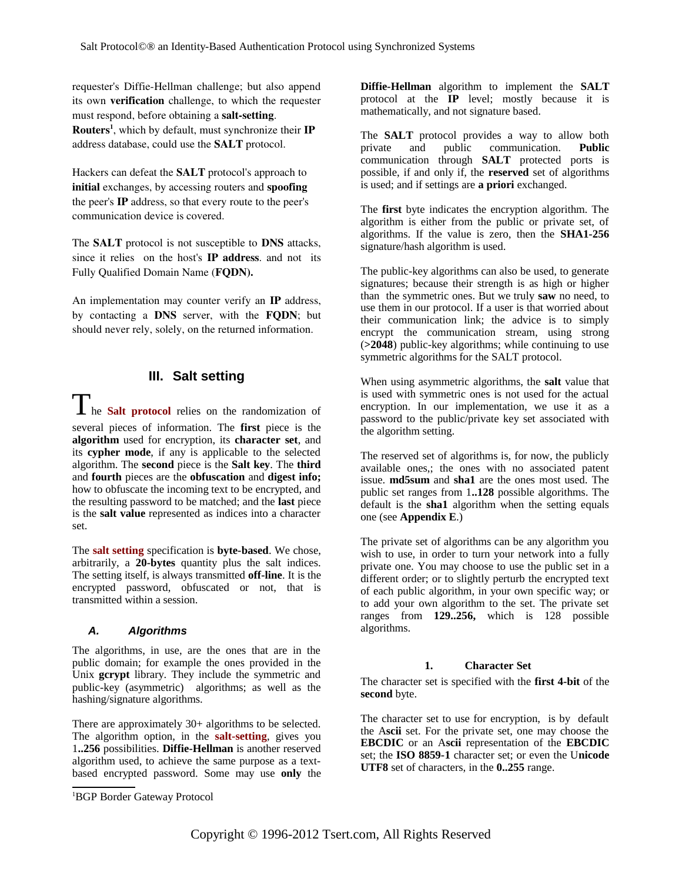requester's Diffie-Hellman challenge; but also append its own verification challenge, to which the requester must respond, before obtaining a salt-setting. Routers<sup>[1](#page-2-0)</sup>, which by default, must synchronize their IP address database, could use the SALT protocol.

Hackers can defeat the SALT protocol's approach to initial exchanges, by accessing routers and spoofing the peer's IP address, so that every route to the peer's communication device is covered.

The SALT protocol is not susceptible to DNS attacks, since it relies on the host's **IP address**. and not its Fully Qualified Domain Name (FQDN).

An implementation may counter verify an IP address, by contacting a DNS server, with the FQDN; but should never rely, solely, on the returned information.

## **III. Salt setting**

**1** he **Salt protocol** relies on the randomization of several pieces of information. The **first** piece is the **algorithm** used for encryption, its **character set**, and its **cypher mode**, if any is applicable to the selected algorithm. The **second** piece is the **Salt key**. The **third** and **fourth** pieces are the **obfuscation** and **digest info;** how to obfuscate the incoming text to be encrypted, and the resulting password to be matched; and the **last** piece is the **salt value** represented as indices into a character set.

The **salt setting** specification is **byte-based**. We chose, arbitrarily, a **20-bytes** quantity plus the salt indices. The setting itself, is always transmitted **off-line**. It is the encrypted password, obfuscated or not, that is transmitted within a session.

## *A. Algorithms*

The algorithms, in use, are the ones that are in the public domain; for example the ones provided in the Unix **gcrypt** library. They include the symmetric and public-key (asymmetric) algorithms; as well as the hashing/signature algorithms.

There are approximately 30+ algorithms to be selected. The algorithm option, in the **salt-setting**, gives you 1**..256** possibilities. **Diffie-Hellman** is another reserved algorithm used, to achieve the same purpose as a textbased encrypted password. Some may use **only** the

**Diffie-Hellman** algorithm to implement the **SALT** protocol at the **IP** level; mostly because it is mathematically, and not signature based.

The **SALT** protocol provides a way to allow both private and public communication. **Public** communication through **SALT** protected ports is possible, if and only if, the **reserved** set of algorithms is used; and if settings are **a priori** exchanged.

The **first** byte indicates the encryption algorithm. The algorithm is either from the public or private set, of algorithms. If the value is zero, then the **SHA1-256** signature/hash algorithm is used.

The public-key algorithms can also be used, to generate signatures; because their strength is as high or higher than the symmetric ones. But we truly **saw** no need, to use them in our protocol. If a user is that worried about their communication link; the advice is to simply encrypt the communication stream, using strong (**>2048**) public-key algorithms; while continuing to use symmetric algorithms for the SALT protocol.

When using asymmetric algorithms, the **salt** value that is used with symmetric ones is not used for the actual encryption. In our implementation, we use it as a password to the public/private key set associated with the algorithm setting.

The reserved set of algorithms is, for now, the publicly available ones,; the ones with no associated patent issue. **md5sum** and **sha1** are the ones most used. The public set ranges from 1**..128** possible algorithms. The default is the **sha1** algorithm when the setting equals one (see **Appendix E**.)

The private set of algorithms can be any algorithm you wish to use, in order to turn your network into a fully private one. You may choose to use the public set in a different order; or to slightly perturb the encrypted text of each public algorithm, in your own specific way; or to add your own algorithm to the set. The private set ranges from **129..256,** which is 128 possible algorithms.

## **1. Character Set**

The character set is specified with the **first 4-bit** of the **second** byte.

The character set to use for encryption, is by default the A**scii** set. For the private set, one may choose the **EBCDIC** or an A**scii** representation of the **EBCDIC** set; the **ISO 8859-1** character set; or even the U**nicode UTF8** set of characters, in the **0..255** range.

<span id="page-2-0"></span><sup>1</sup>BGP Border Gateway Protocol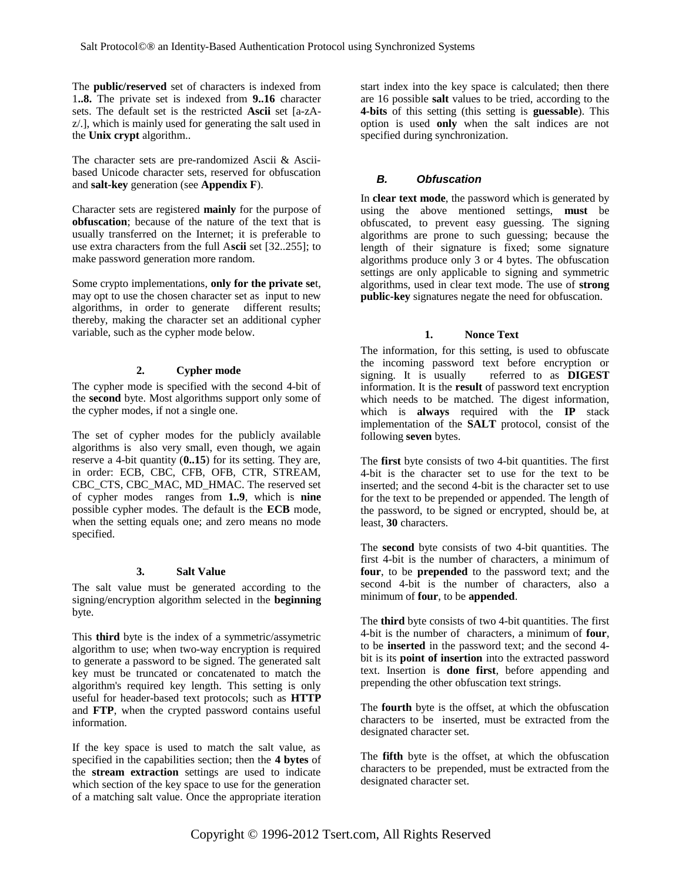The **public/reserved** set of characters is indexed from 1**..8.** The private set is indexed from **9..16** character sets. The default set is the restricted **Ascii** set [a-zAz/.], which is mainly used for generating the salt used in the **Unix crypt** algorithm..

The character sets are pre-randomized Ascii & Asciibased Unicode character sets, reserved for obfuscation and **salt-key** generation (see **Appendix F**).

Character sets are registered **mainly** for the purpose of **obfuscation**; because of the nature of the text that is usually transferred on the Internet; it is preferable to use extra characters from the full A**scii** set [32..255]; to make password generation more random.

Some crypto implementations, **only for the private se**t, may opt to use the chosen character set as input to new algorithms, in order to generate different results; thereby, making the character set an additional cypher variable, such as the cypher mode below.

## **2. Cypher mode**

The cypher mode is specified with the second 4-bit of the **second** byte. Most algorithms support only some of the cypher modes, if not a single one.

The set of cypher modes for the publicly available algorithms is also very small, even though, we again reserve a 4-bit quantity (**0..15**) for its setting. They are, in order: ECB, CBC, CFB, OFB, CTR, STREAM, CBC\_CTS, CBC\_MAC, MD\_HMAC. The reserved set of cypher modes ranges from **1..9**, which is **nine** possible cypher modes. The default is the **ECB** mode, when the setting equals one; and zero means no mode specified.

## **3. Salt Value**

The salt value must be generated according to the signing/encryption algorithm selected in the **beginning** byte.

This **third** byte is the index of a symmetric/assymetric algorithm to use; when two-way encryption is required to generate a password to be signed. The generated salt key must be truncated or concatenated to match the algorithm's required key length. This setting is only useful for header-based text protocols; such as **HTTP** and **FTP**, when the crypted password contains useful information.

If the key space is used to match the salt value, as specified in the capabilities section; then the **4 bytes** of the **stream extraction** settings are used to indicate which section of the key space to use for the generation of a matching salt value. Once the appropriate iteration

start index into the key space is calculated; then there are 16 possible **salt** values to be tried, according to the **4-bits** of this setting (this setting is **guessable**). This option is used **only** when the salt indices are not specified during synchronization.

## *B. Obfuscation*

In **clear text mode**, the password which is generated by using the above mentioned settings, **must** be obfuscated, to prevent easy guessing. The signing algorithms are prone to such guessing; because the length of their signature is fixed; some signature algorithms produce only 3 or 4 bytes. The obfuscation settings are only applicable to signing and symmetric algorithms, used in clear text mode. The use of **strong public-key** signatures negate the need for obfuscation.

## **1. Nonce Text**

The information, for this setting, is used to obfuscate the incoming password text before encryption or signing. It is usually referred to as **DIGEST** referred to as **DIGEST** information. It is the **result** of password text encryption which needs to be matched. The digest information, which is **always** required with the **IP** stack implementation of the **SALT** protocol, consist of the following **seven** bytes.

The **first** byte consists of two 4-bit quantities. The first 4-bit is the character set to use for the text to be inserted; and the second 4-bit is the character set to use for the text to be prepended or appended. The length of the password, to be signed or encrypted, should be, at least, **30** characters.

The **second** byte consists of two 4-bit quantities. The first 4-bit is the number of characters, a minimum of **four**, to be **prepended** to the password text; and the second 4-bit is the number of characters, also a minimum of **four**, to be **appended**.

The **third** byte consists of two 4-bit quantities. The first 4-bit is the number of characters, a minimum of **four**, to be **inserted** in the password text; and the second 4 bit is its **point of insertion** into the extracted password text. Insertion is **done first**, before appending and prepending the other obfuscation text strings.

The **fourth** byte is the offset, at which the obfuscation characters to be inserted, must be extracted from the designated character set.

The **fifth** byte is the offset, at which the obfuscation characters to be prepended, must be extracted from the designated character set.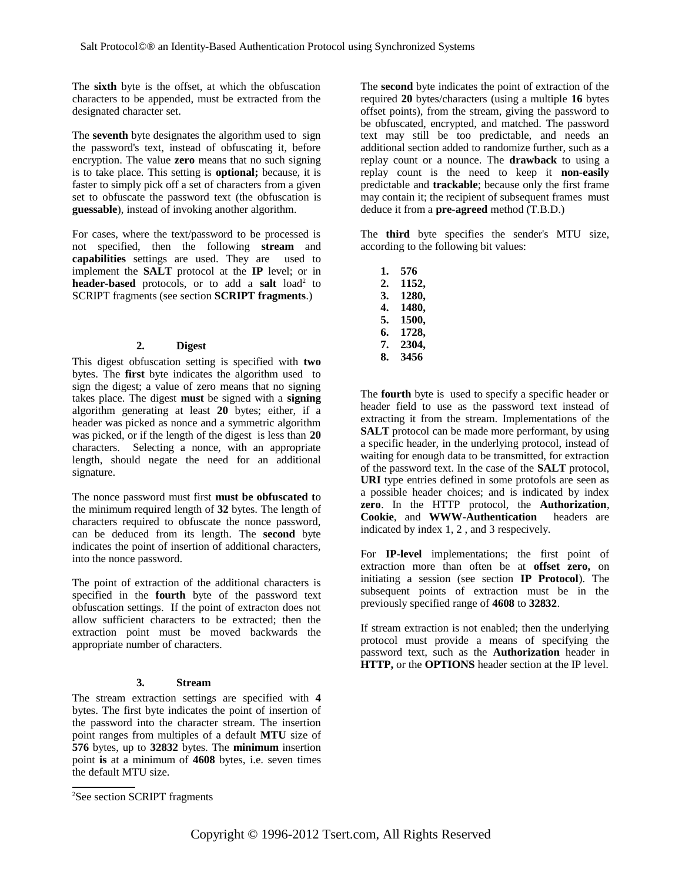The **sixth** byte is the offset, at which the obfuscation characters to be appended, must be extracted from the designated character set.

The **seventh** byte designates the algorithm used to sign the password's text, instead of obfuscating it, before encryption. The value **zero** means that no such signing is to take place. This setting is **optional;** because, it is faster to simply pick off a set of characters from a given set to obfuscate the password text (the obfuscation is **guessable**), instead of invoking another algorithm.

For cases, where the text/password to be processed is not specified, then the following **stream** and **capabilities** settings are used. They are used to implement the **SALT** protocol at the **IP** level; or in **header-based** protocols, or to add a salt load<sup>[2](#page-4-0)</sup> to SCRIPT fragments (see section **SCRIPT fragments**.)

## **2. Digest**

This digest obfuscation setting is specified with **two** bytes. The **first** byte indicates the algorithm used to sign the digest; a value of zero means that no signing takes place. The digest **must** be signed with a **signing** algorithm generating at least **20** bytes; either, if a header was picked as nonce and a symmetric algorithm was picked, or if the length of the digest is less than **20** characters. Selecting a nonce, with an appropriate length, should negate the need for an additional signature.

The nonce password must first **must be obfuscated t**o the minimum required length of **32** bytes. The length of characters required to obfuscate the nonce password, can be deduced from its length. The **second** byte indicates the point of insertion of additional characters, into the nonce password.

The point of extraction of the additional characters is specified in the **fourth** byte of the password text obfuscation settings. If the point of extracton does not allow sufficient characters to be extracted; then the extraction point must be moved backwards the appropriate number of characters.

## **3. Stream**

The stream extraction settings are specified with **4** bytes. The first byte indicates the point of insertion of the password into the character stream. The insertion point ranges from multiples of a default **MTU** size of **576** bytes, up to **32832** bytes. The **minimum** insertion point **is** at a minimum of **4608** bytes, i.e. seven times the default MTU size.

The **second** byte indicates the point of extraction of the required **20** bytes/characters (using a multiple **16** bytes offset points), from the stream, giving the password to be obfuscated, encrypted, and matched. The password text may still be too predictable, and needs an additional section added to randomize further, such as a replay count or a nounce. The **drawback** to using a replay count is the need to keep it **non-easily** predictable and **trackable**; because only the first frame may contain it; the recipient of subsequent frames must deduce it from a **pre-agreed** method (T.B.D.)

The **third** byte specifies the sender's MTU size, according to the following bit values:

- **1. 576**
- **2. 1152,**
- **3. 1280,**
- **4. 1480, 5. 1500,**
- **6. 1728,**
- **7. 2304,**
- **8. 3456**

The **fourth** byte is used to specify a specific header or header field to use as the password text instead of extracting it from the stream. Implementations of the **SALT** protocol can be made more performant, by using a specific header, in the underlying protocol, instead of waiting for enough data to be transmitted, for extraction of the password text. In the case of the **SALT** protocol, **URI** type entries defined in some protofols are seen as a possible header choices; and is indicated by index **zero**. In the HTTP protocol, the **Authorization**, **Cookie**, and **WWW-Authentication** headers are indicated by index 1, 2 , and 3 respecively.

For **IP-level** implementations; the first point of extraction more than often be at **offset zero,** on initiating a session (see section **IP Protocol**). The subsequent points of extraction must be in the previously specified range of **4608** to **32832**.

If stream extraction is not enabled; then the underlying protocol must provide a means of specifying the password text, such as the **Authorization** header in **HTTP,** or the **OPTIONS** header section at the IP level.

<span id="page-4-0"></span><sup>&</sup>lt;sup>2</sup>See section SCRIPT fragments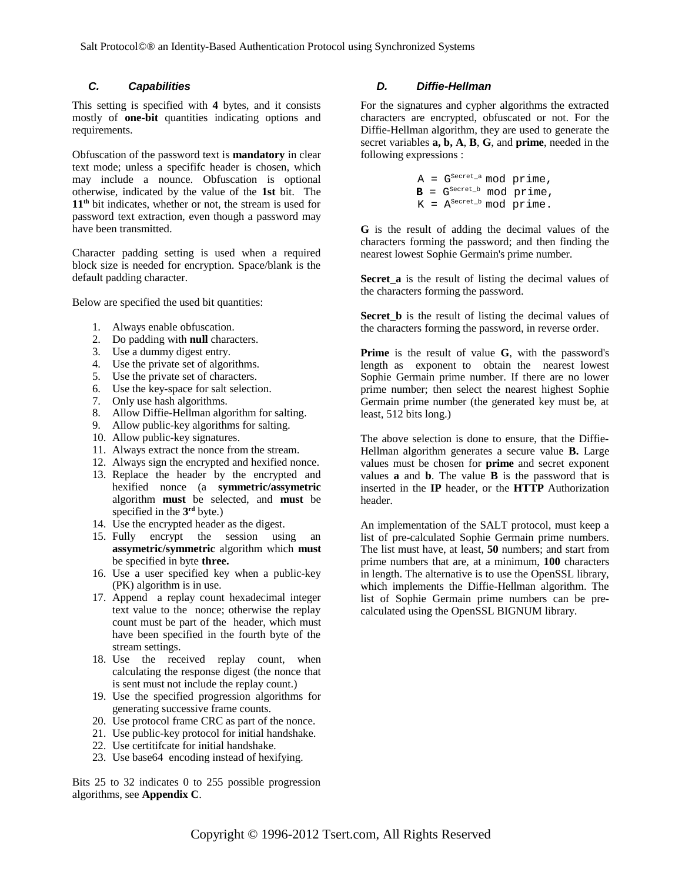#### *C. Capabilities*

This setting is specified with **4** bytes, and it consists mostly of **one-bit** quantities indicating options and requirements.

Obfuscation of the password text is **mandatory** in clear text mode; unless a specififc header is chosen, which may include a nounce. Obfuscation is optional otherwise, indicated by the value of the **1st** bit. The **11th** bit indicates, whether or not, the stream is used for password text extraction, even though a password may have been transmitted.

Character padding setting is used when a required block size is needed for encryption. Space/blank is the default padding character.

Below are specified the used bit quantities:

- 1. Always enable obfuscation.
- 2. Do padding with **null** characters.
- 3. Use a dummy digest entry.
- 4. Use the private set of algorithms.
- 5. Use the private set of characters.
- 6. Use the key-space for salt selection.
- 7. Only use hash algorithms.
- 8. Allow Diffie-Hellman algorithm for salting.
- 9. Allow public-key algorithms for salting.
- 10. Allow public-key signatures.
- 11. Always extract the nonce from the stream.
- 12. Always sign the encrypted and hexified nonce.
- 13. Replace the header by the encrypted and hexified nonce (a **symmetric/assymetric** algorithm **must** be selected, and **must** be specified in the **3 rd** byte.)
- 14. Use the encrypted header as the digest.
- 15. Fully encrypt the session using an **assymetric/symmetric** algorithm which **must** be specified in byte **three.**
- 16. Use a user specified key when a public-key (PK) algorithm is in use.
- 17. Append a replay count hexadecimal integer text value to the nonce; otherwise the replay count must be part of the header, which must have been specified in the fourth byte of the stream settings.
- 18. Use the received replay count, when calculating the response digest (the nonce that is sent must not include the replay count.)
- 19. Use the specified progression algorithms for generating successive frame counts.
- 20. Use protocol frame CRC as part of the nonce.
- 21. Use public-key protocol for initial handshake.
- 22. Use certitifcate for initial handshake.
- 23. Use base64 encoding instead of hexifying.

Bits 25 to 32 indicates 0 to 255 possible progression algorithms, see **Appendix C**.

#### *D. Diffie-Hellman*

For the signatures and cypher algorithms the extracted characters are encrypted, obfuscated or not. For the Diffie-Hellman algorithm, they are used to generate the secret variables **a, b, A**, **B**, **G**, and **prime**, needed in the following expressions :

$$
A = G^{\text{Secret\_a}} \text{ mod prime},
$$
  

$$
B = G^{\text{Secret\_b}} \text{ mod prime},
$$
  

$$
K = A^{\text{Secret\_b}} \text{ mod prime}.
$$

**G** is the result of adding the decimal values of the characters forming the password; and then finding the nearest lowest Sophie Germain's prime number.

**Secret a** is the result of listing the decimal values of the characters forming the password.

**Secret\_b** is the result of listing the decimal values of the characters forming the password, in reverse order.

**Prime** is the result of value **G**, with the password's length as exponent to obtain the nearest lowest Sophie Germain prime number. If there are no lower prime number; then select the nearest highest Sophie Germain prime number (the generated key must be, at least, 512 bits long.)

The above selection is done to ensure, that the Diffie-Hellman algorithm generates a secure value **B.** Large values must be chosen for **prime** and secret exponent values **a** and **b**. The value **B** is the password that is inserted in the **IP** header, or the **HTTP** Authorization header.

An implementation of the SALT protocol, must keep a list of pre-calculated Sophie Germain prime numbers. The list must have, at least, **50** numbers; and start from prime numbers that are, at a minimum, **100** characters in length. The alternative is to use the OpenSSL library, which implements the Diffie-Hellman algorithm. The list of Sophie Germain prime numbers can be precalculated using the OpenSSL BIGNUM library.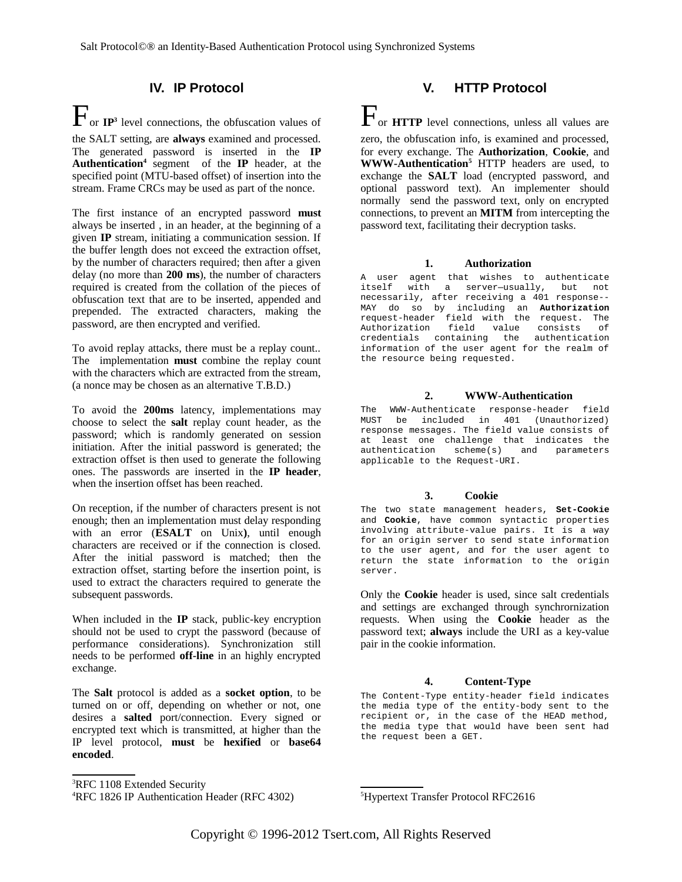## **IV. IP Protocol**

 $\mathbf{F}_{\text{or IP}^3}$  $\mathbf{F}_{\text{or IP}^3}$  $\mathbf{F}_{\text{or IP}^3}$  level connections, the obfuscation values of the SALT setting, are **always** examined and processed. The generated password is inserted in the **IP Authentication<sup>[4](#page-6-1)</sup>** segment of the **IP** header, at the specified point (MTU-based offset) of insertion into the stream. Frame CRCs may be used as part of the nonce.

The first instance of an encrypted password **must** always be inserted , in an header, at the beginning of a given **IP** stream, initiating a communication session. If the buffer length does not exceed the extraction offset, by the number of characters required; then after a given delay (no more than **200 ms**), the number of characters required is created from the collation of the pieces of obfuscation text that are to be inserted, appended and prepended. The extracted characters, making the password, are then encrypted and verified.

To avoid replay attacks, there must be a replay count.. The implementation **must** combine the replay count with the characters which are extracted from the stream, (a nonce may be chosen as an alternative T.B.D.)

To avoid the **200ms** latency, implementations may choose to select the **salt** replay count header, as the password; which is randomly generated on session initiation. After the initial password is generated; the extraction offset is then used to generate the following ones. The passwords are inserted in the **IP header**, when the insertion offset has been reached.

On reception, if the number of characters present is not enough; then an implementation must delay responding with an error (**ESALT** on Unix**)**, until enough characters are received or if the connection is closed. After the initial password is matched; then the extraction offset, starting before the insertion point, is used to extract the characters required to generate the subsequent passwords.

When included in the **IP** stack, public-key encryption should not be used to crypt the password (because of performance considerations). Synchronization still needs to be performed **off-line** in an highly encrypted exchange.

The **Salt** protocol is added as a **socket option**, to be turned on or off, depending on whether or not, one desires a **salted** port/connection. Every signed or encrypted text which is transmitted, at higher than the IP level protocol, **must** be **hexified** or **base64 encoded**.

#### <span id="page-6-0"></span><sup>3</sup>RFC 1108 Extended Security

# **V. HTTP Protocol**

 $\mathbf{F}_{\text{or}}$  **HTTP** level connections, unless all values are zero, the obfuscation info, is examined and processed, for every exchange. The **Authorization**, **Cookie**, and **WWW-Authentication[5](#page-6-2)** HTTP headers are used, to exchange the **SALT** load (encrypted password, and optional password text). An implementer should normally send the password text, only on encrypted connections, to prevent an **MITM** from intercepting the password text, facilitating their decryption tasks.

#### **1. Authorization**

A user agent that wishes to authenticate itself with a server—usually, but not necessarily, after receiving a 401 response-- MAY do so by including an **Authorization** request-header field with the request. The Authorization field value consists of credentials containing the authentication information of the user agent for the realm of the resource being requested.

#### **2. WWW-Authentication**

The WWW-Authenticate response-header field MUST be included in 401 (Unauthorized) response messages. The field value consists of at least one challenge that indicates the<br>authentication scheme(s) and parameters  $scheme(s)$  and parameters applicable to the Request-URI.

## **3. Cookie**

The two state management headers, **Set-Cookie** and **Cookie**, have common syntactic properties involving attribute-value pairs. It is a way for an origin server to send state information to the user agent, and for the user agent to return the state information to the origin server.

Only the **Cookie** header is used, since salt credentials and settings are exchanged through synchrornization requests. When using the **Cookie** header as the password text; **always** include the URI as a key-value pair in the cookie information.

## **4. Content-Type**

The Content-Type entity-header field indicates the media type of the entity-body sent to the recipient or, in the case of the HEAD method, the media type that would have been sent had the request been a GET.

<span id="page-6-2"></span><sup>5</sup>Hypertext Transfer Protocol RFC2616

<span id="page-6-1"></span><sup>4</sup>RFC 1826 IP Authentication Header (RFC 4302)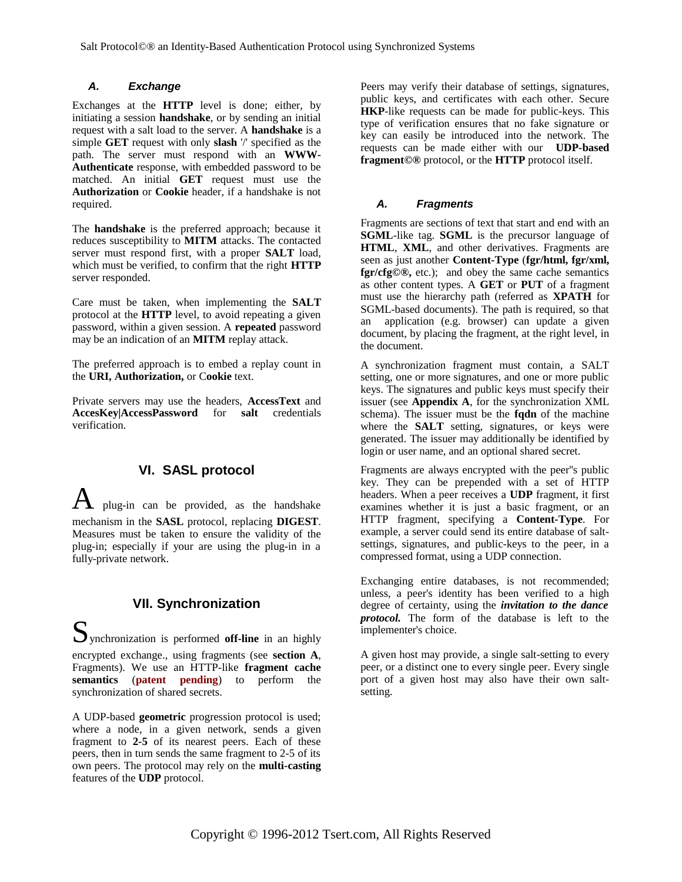## *A. Exchange*

Exchanges at the **HTTP** level is done; either, by initiating a session **handshake**, or by sending an initial request with a salt load to the server. A **handshake** is a simple **GET** request with only **slash** '/' specified as the path. The server must respond with an **WWW-Authenticate** response, with embedded password to be matched. An initial **GET** request must use the **Authorization** or **Cookie** header, if a handshake is not required.

The **handshake** is the preferred approach; because it reduces susceptibility to **MITM** attacks. The contacted server must respond first, with a proper **SALT** load, which must be verified, to confirm that the right **HTTP** server responded.

Care must be taken, when implementing the **SALT** protocol at the **HTTP** level, to avoid repeating a given password, within a given session. A **repeated** password may be an indication of an **MITM** replay attack.

The preferred approach is to embed a replay count in the **URI, Authorization,** or C**ookie** text.

Private servers may use the headers, **AccessText** and **AccesKey|AccessPassword** for **salt** credentials verification.

## **VI. SASL protocol**

plug-in can be provided, as the handshake mechanism in the **SASL** protocol, replacing **DIGEST**. Measures must be taken to ensure the validity of the plug-in; especially if your are using the plug-in in a fully-private network.

# **VII. Synchronization**

Synchronization is performed **off-line** in an highly encrypted exchange., using fragments (see **section A**, Fragments). We use an HTTP-like **fragment cache semantics** (**patent pending**) to perform the synchronization of shared secrets.

A UDP-based **geometric** progression protocol is used; where a node, in a given network, sends a given fragment to **2-5** of its nearest peers. Each of these peers, then in turn sends the same fragment to 2-5 of its own peers. The protocol may rely on the **multi-casting** features of the **UDP** protocol.

Peers may verify their database of settings, signatures, public keys, and certificates with each other. Secure **HKP**-like requests can be made for public-keys. This type of verification ensures that no fake signature or key can easily be introduced into the network. The requests can be made either with our **UDP-based fragment©®** protocol, or the **HTTP** protocol itself.

## *A. Fragments*

Fragments are sections of text that start and end with an **SGML**-like tag. **SGML** is the precursor language of **HTML**, **XML**, and other derivatives. Fragments are seen as just another **Content-Type** (**fgr/html, fgr/xml, fgr/cfg©®,** etc.); and obey the same cache semantics as other content types. A **GET** or **PUT** of a fragment must use the hierarchy path (referred as **XPATH** for SGML-based documents). The path is required, so that an application (e.g. browser) can update a given document, by placing the fragment, at the right level, in the document.

A synchronization fragment must contain, a SALT setting, one or more signatures, and one or more public keys. The signatures and public keys must specify their issuer (see **Appendix A**, for the synchronization XML schema). The issuer must be the **fqdn** of the machine where the **SALT** setting, signatures, or keys were generated. The issuer may additionally be identified by login or user name, and an optional shared secret.

Fragments are always encrypted with the peer''s public key. They can be prepended with a set of HTTP headers. When a peer receives a **UDP** fragment, it first examines whether it is just a basic fragment, or an HTTP fragment, specifying a **Content-Type**. For example, a server could send its entire database of saltsettings, signatures, and public-keys to the peer, in a compressed format, using a UDP connection.

Exchanging entire databases, is not recommended; unless, a peer's identity has been verified to a high degree of certainty, using the *invitation to the dance protocol.* The form of the database is left to the implementer's choice.

A given host may provide, a single salt-setting to every peer, or a distinct one to every single peer. Every single port of a given host may also have their own saltsetting.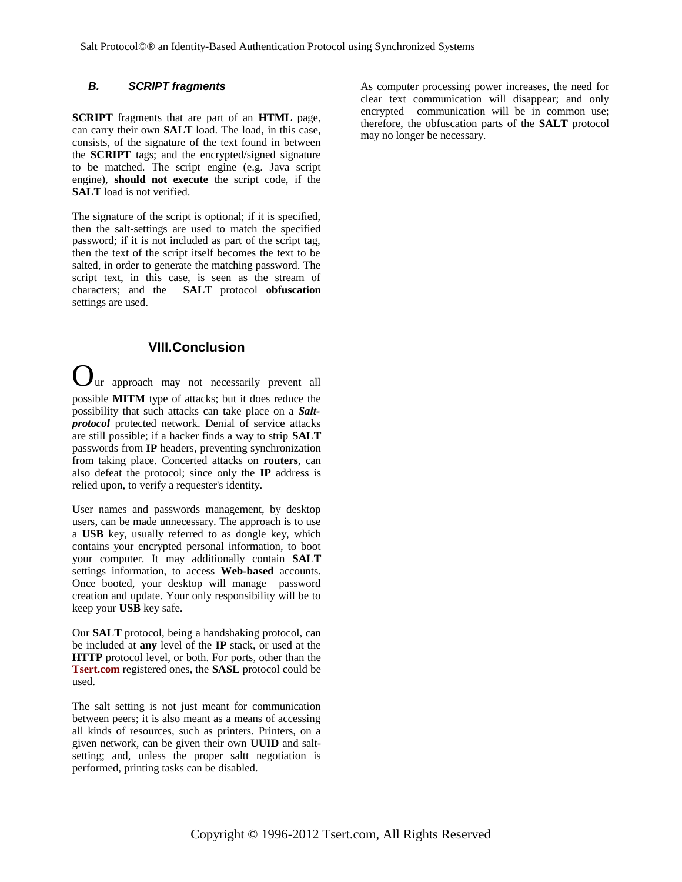## *B. SCRIPT fragments*

**SCRIPT** fragments that are part of an **HTML** page, can carry their own **SALT** load. The load, in this case, consists, of the signature of the text found in between the **SCRIPT** tags; and the encrypted/signed signature to be matched. The script engine (e.g. Java script engine), **should not execute** the script code, if the **SALT** load is not verified.

The signature of the script is optional; if it is specified, then the salt-settings are used to match the specified password; if it is not included as part of the script tag, then the text of the script itself becomes the text to be salted, in order to generate the matching password. The script text, in this case, is seen as the stream of characters; and the **SALT** protocol **obfuscation** settings are used.

## **VIII.Conclusion**

ur approach may not necessarily prevent all possible **MITM** type of attacks; but it does reduce the possibility that such attacks can take place on a *Saltprotocol* protected network. Denial of service attacks are still possible; if a hacker finds a way to strip **SALT** passwords from **IP** headers, preventing synchronization from taking place. Concerted attacks on **routers**, can also defeat the protocol; since only the **IP** address is relied upon, to verify a requester's identity.

User names and passwords management, by desktop users, can be made unnecessary. The approach is to use a **USB** key, usually referred to as dongle key, which contains your encrypted personal information, to boot your computer. It may additionally contain **SALT** settings information, to access **Web-based** accounts. Once booted, your desktop will manage password creation and update. Your only responsibility will be to keep your **USB** key safe.

Our **SALT** protocol, being a handshaking protocol, can be included at **any** level of the **IP** stack, or used at the **HTTP** protocol level, or both. For ports, other than the **Tsert.com** registered ones, the **SASL** protocol could be used.

The salt setting is not just meant for communication between peers; it is also meant as a means of accessing all kinds of resources, such as printers. Printers, on a given network, can be given their own **UUID** and saltsetting; and, unless the proper saltt negotiation is performed, printing tasks can be disabled.

As computer processing power increases, the need for clear text communication will disappear; and only encrypted communication will be in common use; therefore, the obfuscation parts of the **SALT** protocol may no longer be necessary.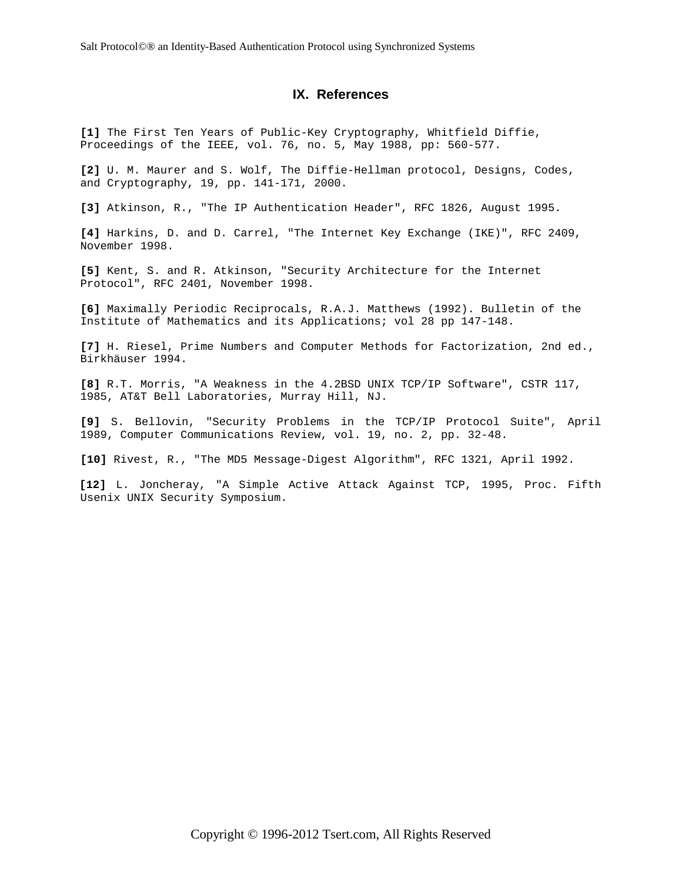## **IX. References**

**[1]** The First Ten Years of Public-Key Cryptography, Whitfield Diffie, Proceedings of the IEEE, vol. 76, no. 5, May 1988, pp: 560-577.

**[2]** U. M. Maurer and S. Wolf, The Diffie-Hellman protocol, Designs, Codes, and Cryptography, 19, pp. 141-171, 2000.

**[3]** Atkinson, R., "The IP Authentication Header", RFC 1826, August 1995.

**[4]** Harkins, D. and D. Carrel, "The Internet Key Exchange (IKE)", RFC 2409, November 1998.

**[5]** Kent, S. and R. Atkinson, "Security Architecture for the Internet Protocol", RFC 2401, November 1998.

**[6]** Maximally Periodic Reciprocals, R.A.J. Matthews (1992). Bulletin of the Institute of Mathematics and its Applications; vol 28 pp 147-148.

**[7]** H. Riesel, Prime Numbers and Computer Methods for Factorization, 2nd ed., Birkhäuser 1994.

**[8]** R.T. Morris, "A Weakness in the 4.2BSD UNIX TCP/IP Software", CSTR 117, 1985, AT&T Bell Laboratories, Murray Hill, NJ.

**[9]** S. Bellovin, "Security Problems in the TCP/IP Protocol Suite", April 1989, Computer Communications Review, vol. 19, no. 2, pp. 32-48.

**[10]** Rivest, R., "The MD5 Message-Digest Algorithm", RFC 1321, April 1992.

**[12]** L. Joncheray, "A Simple Active Attack Against TCP, 1995, Proc. Fifth Usenix UNIX Security Symposium.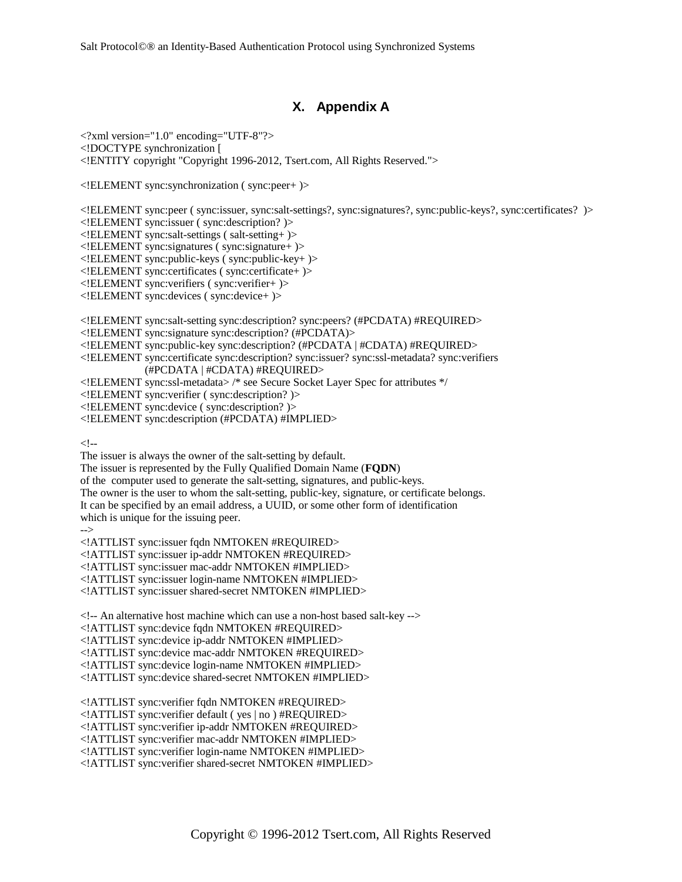## **X. Appendix A**

<?xml version="1.0" encoding="UTF-8"?> <!DOCTYPE synchronization [ <!ENTITY copyright "Copyright 1996-2012, Tsert.com, All Rights Reserved.">

<!ELEMENT sync:synchronization ( sync:peer+ )>

<!ELEMENT sync:peer ( sync:issuer, sync:salt-settings?, sync:signatures?, sync:public-keys?, sync:certificates? )> <!ELEMENT sync:issuer ( sync:description? )> <!ELEMENT sync:salt-settings ( salt-setting+ )> <!ELEMENT sync:signatures ( sync:signature+ )> <!ELEMENT sync:public-keys ( sync:public-key+ )> <!ELEMENT sync:certificates ( sync:certificate+ )> <!ELEMENT sync:verifiers ( sync:verifier+ )> <!ELEMENT sync:devices ( sync:device+ )> <!ELEMENT sync:salt-setting sync:description? sync:peers? (#PCDATA) #REQUIRED> <!ELEMENT sync:signature sync:description? (#PCDATA)> <!ELEMENT sync:public-key sync:description? (#PCDATA | #CDATA) #REQUIRED> <!ELEMENT sync:certificate sync:description? sync:issuer? sync:ssl-metadata? sync:verifiers (#PCDATA | #CDATA) #REQUIRED> <!ELEMENT sync:ssl-metadata> /\* see Secure Socket Layer Spec for attributes \*/ <!ELEMENT sync:verifier ( sync:description? )> <!ELEMENT sync:device ( sync:description? )>

<!ELEMENT sync:description (#PCDATA) #IMPLIED>

 $$ 

The issuer is always the owner of the salt-setting by default.

The issuer is represented by the Fully Qualified Domain Name (**FQDN**)

of the computer used to generate the salt-setting, signatures, and public-keys.

The owner is the user to whom the salt-setting, public-key, signature, or certificate belongs.

It can be specified by an email address, a UUID, or some other form of identification

which is unique for the issuing peer.

-->

<!ATTLIST sync:issuer fqdn NMTOKEN #REQUIRED>

<!ATTLIST sync:issuer ip-addr NMTOKEN #REQUIRED>

<!ATTLIST sync:issuer mac-addr NMTOKEN #IMPLIED>

<!ATTLIST sync:issuer login-name NMTOKEN #IMPLIED>

<!ATTLIST sync:issuer shared-secret NMTOKEN #IMPLIED>

<!-- An alternative host machine which can use a non-host based salt-key -->

<!ATTLIST sync:device fqdn NMTOKEN #REQUIRED>

<!ATTLIST sync:device ip-addr NMTOKEN #IMPLIED>

<!ATTLIST sync:device mac-addr NMTOKEN #REQUIRED>

<!ATTLIST sync:device login-name NMTOKEN #IMPLIED>

<!ATTLIST sync:device shared-secret NMTOKEN #IMPLIED>

<!ATTLIST sync:verifier fqdn NMTOKEN #REQUIRED>

<!ATTLIST sync:verifier default ( yes | no ) #REQUIRED>

<!ATTLIST sync:verifier ip-addr NMTOKEN #REQUIRED>

<!ATTLIST sync:verifier mac-addr NMTOKEN #IMPLIED>

<!ATTLIST sync:verifier login-name NMTOKEN #IMPLIED>

<!ATTLIST sync:verifier shared-secret NMTOKEN #IMPLIED>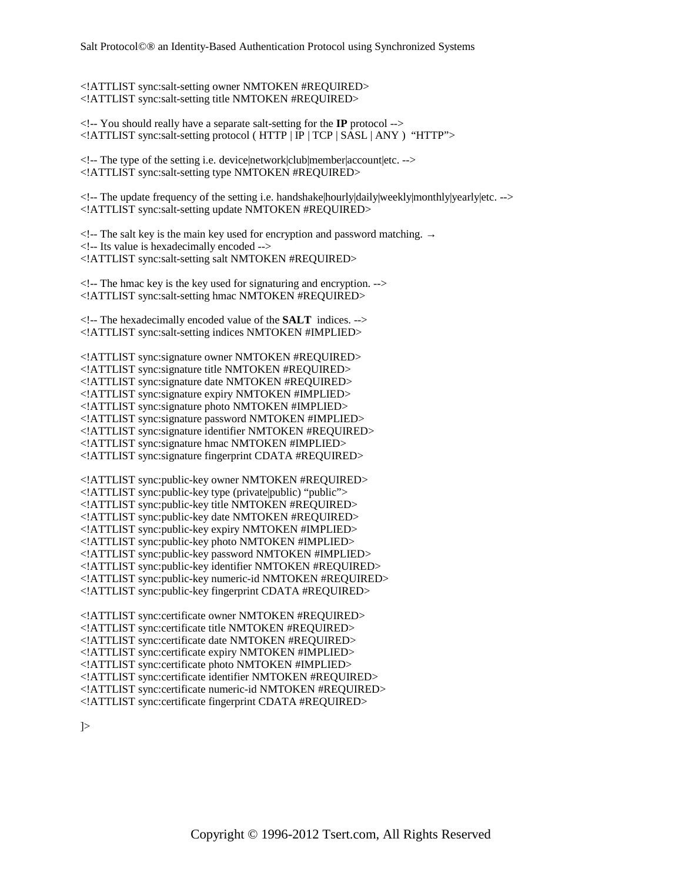<!ATTLIST sync:salt-setting owner NMTOKEN #REQUIRED> <!ATTLIST sync:salt-setting title NMTOKEN #REQUIRED>

<!-- You should really have a separate salt-setting for the **IP** protocol --> <!ATTLIST sync:salt-setting protocol ( HTTP | IP | TCP | SASL | ANY ) "HTTP">

<!-- The type of the setting i.e. device|network|club|member|account|etc. --> <!ATTLIST sync:salt-setting type NMTOKEN #REQUIRED>

<!-- The update frequency of the setting i.e. handshake|hourly|daily|weekly|monthly|yearly|etc. --> <!ATTLIST sync:salt-setting update NMTOKEN #REQUIRED>

 $\leq$ !-- The salt key is the main key used for encryption and password matching.  $\rightarrow$ <!-- Its value is hexadecimally encoded --> <!ATTLIST sync:salt-setting salt NMTOKEN #REQUIRED>

<!-- The hmac key is the key used for signaturing and encryption. --> <!ATTLIST sync:salt-setting hmac NMTOKEN #REQUIRED>

<!-- The hexadecimally encoded value of the **SALT** indices. --> <!ATTLIST sync:salt-setting indices NMTOKEN #IMPLIED>

<!ATTLIST sync:signature owner NMTOKEN #REQUIRED> <!ATTLIST sync:signature title NMTOKEN #REQUIRED> <!ATTLIST sync:signature date NMTOKEN #REQUIRED> <!ATTLIST sync:signature expiry NMTOKEN #IMPLIED> <!ATTLIST sync:signature photo NMTOKEN #IMPLIED> <!ATTLIST sync:signature password NMTOKEN #IMPLIED> <!ATTLIST sync:signature identifier NMTOKEN #REQUIRED> <!ATTLIST sync:signature hmac NMTOKEN #IMPLIED> <!ATTLIST sync:signature fingerprint CDATA #REQUIRED>

<!ATTLIST sync:public-key owner NMTOKEN #REQUIRED> <!ATTLIST sync:public-key type (private|public) "public"> <!ATTLIST sync:public-key title NMTOKEN #REQUIRED> <!ATTLIST sync:public-key date NMTOKEN #REQUIRED> <!ATTLIST sync:public-key expiry NMTOKEN #IMPLIED> <!ATTLIST sync:public-key photo NMTOKEN #IMPLIED> <!ATTLIST sync:public-key password NMTOKEN #IMPLIED> <!ATTLIST sync:public-key identifier NMTOKEN #REQUIRED> <!ATTLIST sync:public-key numeric-id NMTOKEN #REQUIRED> <!ATTLIST sync:public-key fingerprint CDATA #REQUIRED>

<!ATTLIST sync:certificate owner NMTOKEN #REQUIRED> <!ATTLIST sync:certificate title NMTOKEN #REQUIRED> <!ATTLIST sync:certificate date NMTOKEN #REQUIRED> <!ATTLIST sync:certificate expiry NMTOKEN #IMPLIED> <!ATTLIST sync:certificate photo NMTOKEN #IMPLIED> <!ATTLIST sync:certificate identifier NMTOKEN #REQUIRED> <!ATTLIST sync:certificate numeric-id NMTOKEN #REQUIRED> <!ATTLIST sync:certificate fingerprint CDATA #REQUIRED>

]>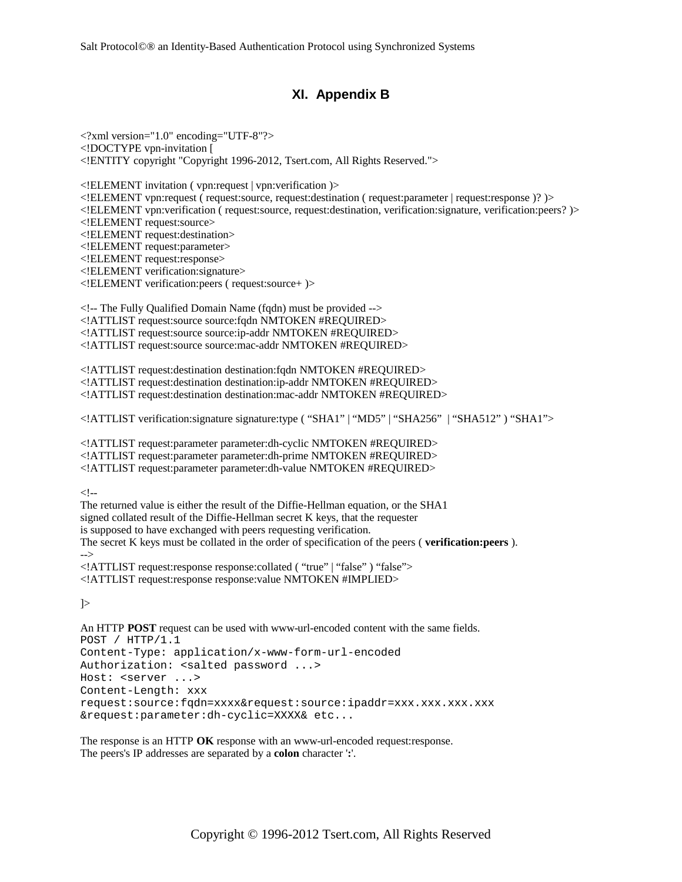# **XI. Appendix B**

<?xml version="1.0" encoding="UTF-8"?> <!DOCTYPE vpn-invitation [ <!ENTITY copyright "Copyright 1996-2012, Tsert.com, All Rights Reserved.">

<!ELEMENT invitation ( vpn:request | vpn:verification )> <!ELEMENT vpn:request ( request:source, request:destination ( request:parameter | request:response )? )> <!ELEMENT vpn:verification ( request:source, request:destination, verification:signature, verification:peers? )> <!ELEMENT request:source> <!ELEMENT request:destination> <!ELEMENT request:parameter> <!ELEMENT request:response> <!ELEMENT verification:signature> <!ELEMENT verification:peers ( request:source+ )>

 $\leq$  -- The Fully Qualified Domain Name (fqdn) must be provided --> <!ATTLIST request:source source:fqdn NMTOKEN #REQUIRED> <!ATTLIST request:source source:ip-addr NMTOKEN #REQUIRED> <!ATTLIST request:source source:mac-addr NMTOKEN #REQUIRED>

<!ATTLIST request:destination destination:fqdn NMTOKEN #REQUIRED> <!ATTLIST request:destination destination:ip-addr NMTOKEN #REQUIRED> <!ATTLIST request:destination destination:mac-addr NMTOKEN #REQUIRED>

<!ATTLIST verification:signature signature:type ( "SHA1" | "MD5" | "SHA256" | "SHA512" ) "SHA1">

<!ATTLIST request:parameter parameter:dh-cyclic NMTOKEN #REQUIRED> <!ATTLIST request:parameter parameter:dh-prime NMTOKEN #REQUIRED> <!ATTLIST request:parameter parameter:dh-value NMTOKEN #REQUIRED>

 $$ 

The returned value is either the result of the Diffie-Hellman equation, or the SHA1 signed collated result of the Diffie-Hellman secret K keys, that the requester is supposed to have exchanged with peers requesting verification. The secret K keys must be collated in the order of specification of the peers ( **verification:peers** ). --> <!ATTLIST request:response response:collated ( "true" | "false" ) "false"> <!ATTLIST request:response response:value NMTOKEN #IMPLIED>

]>

An HTTP **POST** request can be used with www-url-encoded content with the same fields. POST / HTTP/1.1 Content-Type: application/x-www-form-url-encoded Authorization: <salted password ...> Host: <server ...> Content-Length: xxx request:source:fqdn=xxxx&request:source:ipaddr=xxx.xxx.xxx.xxx &request:parameter:dh-cyclic=XXXX& etc...

The response is an HTTP **OK** response with an www-url-encoded request:response. The peers's IP addresses are separated by a **colon** character '**:**'.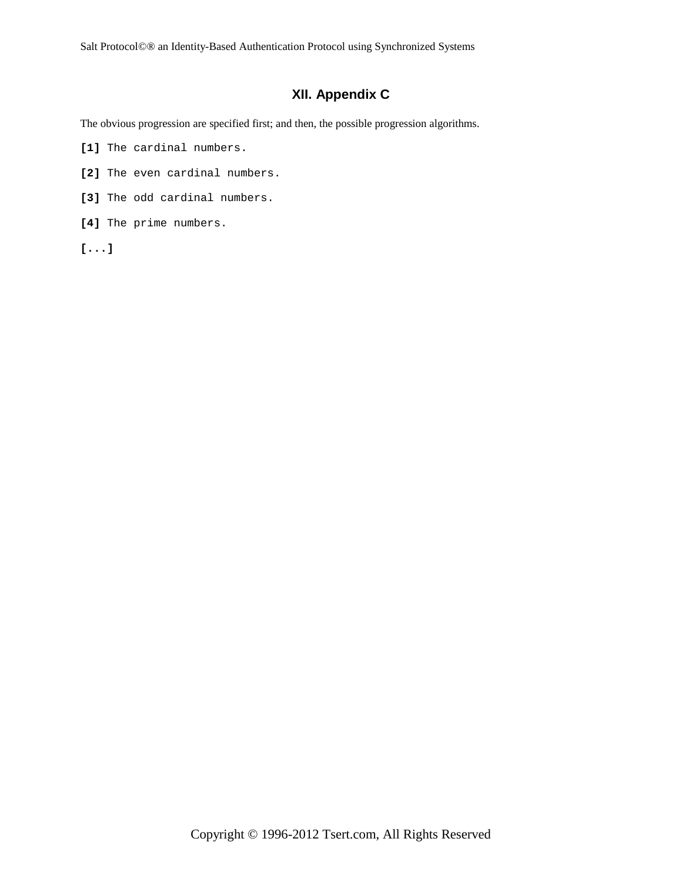# **XII. Appendix C**

The obvious progression are specified first; and then, the possible progression algorithms.

- **[1]** The cardinal numbers.
- **[2]** The even cardinal numbers.
- **[3]** The odd cardinal numbers.
- **[4]** The prime numbers.
- **[...]**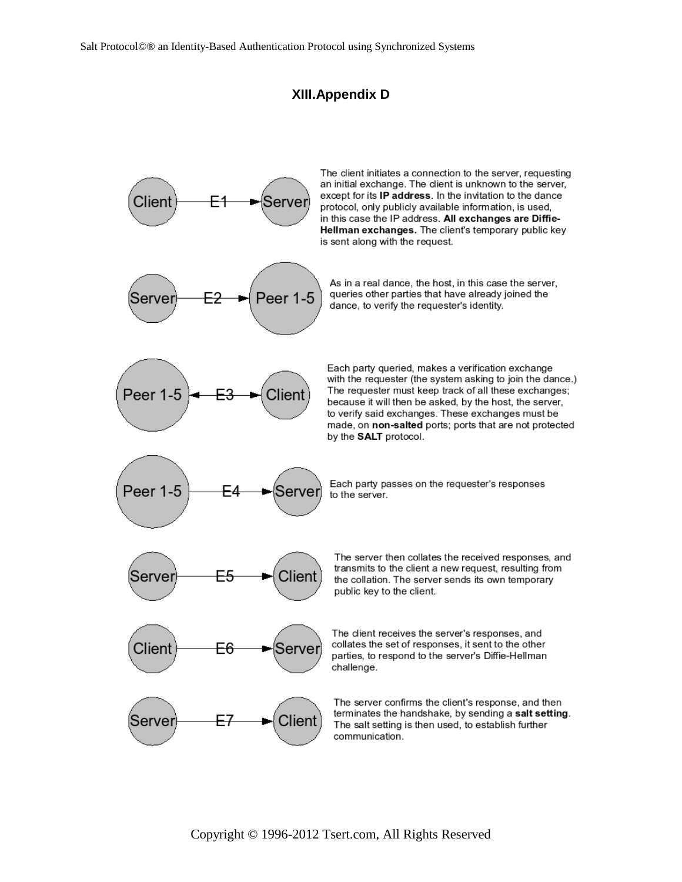# **XIII.Appendix D**

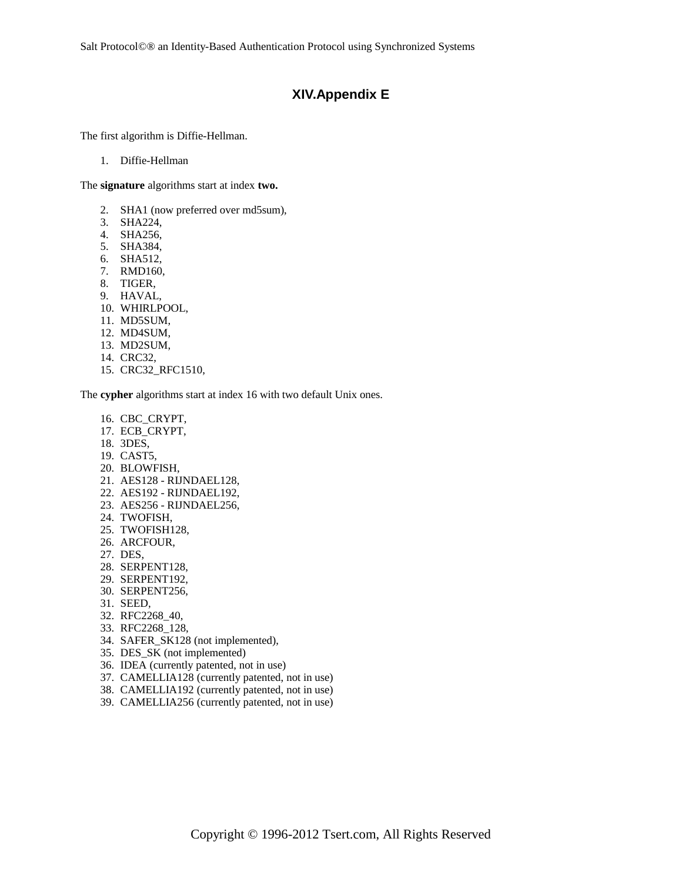Salt Protocol©® an Identity-Based Authentication Protocol using Synchronized Systems

## **XIV.Appendix E**

The first algorithm is Diffie-Hellman.

1. Diffie-Hellman

The **signature** algorithms start at index **two.**

- 2. SHA1 (now preferred over md5sum),
- 3. SHA224,
- 4. SHA256,
- 5. SHA384,
- 6. SHA512,
- 7. RMD160,
- 8. TIGER,
- 9. HAVAL,
- 10. WHIRLPOOL,
- 11. MD5SUM,
- 12. MD4SUM,
- 13. MD2SUM,
- 14. CRC32,
- 15. CRC32\_RFC1510,

The **cypher** algorithms start at index 16 with two default Unix ones.

- 16. CBC\_CRYPT,
- 17. ECB\_CRYPT,
- 18. 3DES,
- 19. CAST5,
- 20. BLOWFISH,
- 21. AES128 RIJNDAEL128,
- 22. AES192 RIJNDAEL192,
- 23. AES256 RIJNDAEL256,
- 24. TWOFISH,
- 25. TWOFISH128,
- 26. ARCFOUR,
- 27. DES,
- 28. SERPENT128,
- 29. SERPENT192,
- 30. SERPENT256,
- 31. SEED,
- 32. RFC2268\_40,
- 33. RFC2268\_128,
- 34. SAFER\_SK128 (not implemented),
- 35. DES\_SK (not implemented)
- 36. IDEA (currently patented, not in use)
- 37. CAMELLIA128 (currently patented, not in use)
- 38. CAMELLIA192 (currently patented, not in use)
- 39. CAMELLIA256 (currently patented, not in use)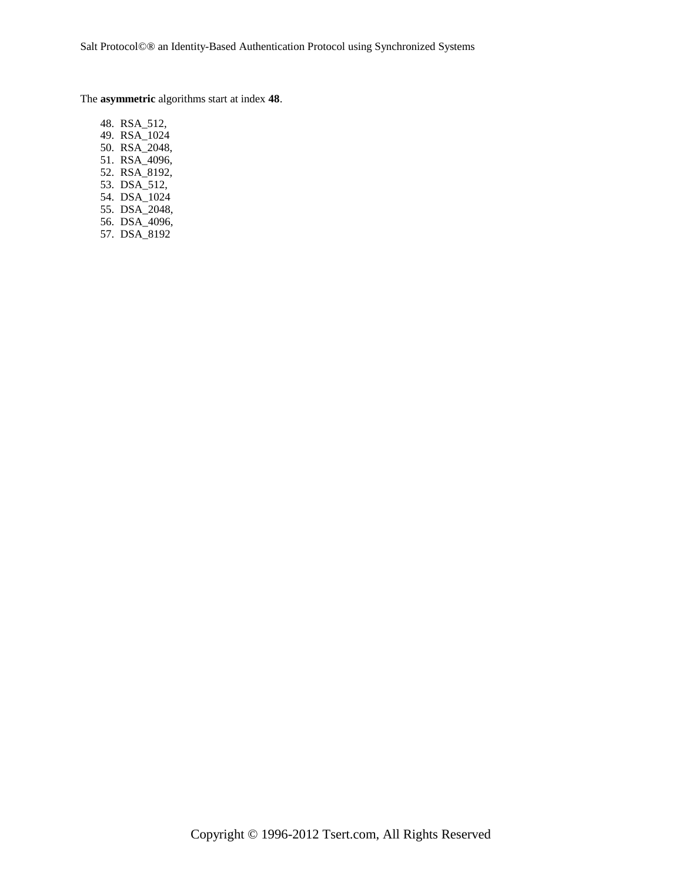The **asymmetric** algorithms start at index **48**.

48. RSA\_512, 49. RSA\_1024 50. RSA\_2048, 51. RSA\_4096, 52. RSA\_8192, 53. DSA\_512, 54. DSA\_1024 55. DSA\_2048, 56. DSA\_4096, 57. DSA\_8192